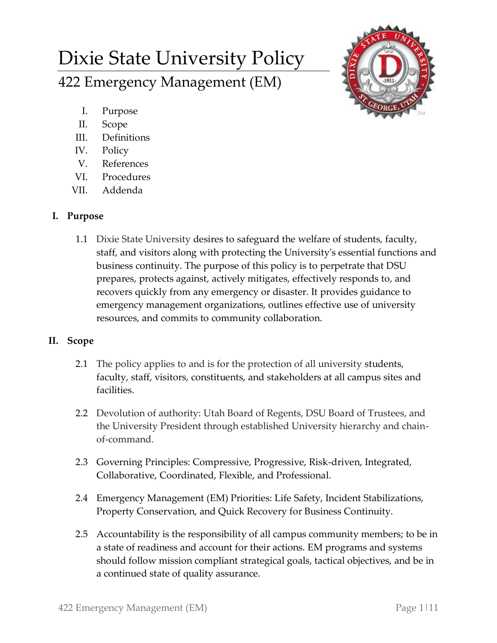# Dixie State University Policy 422 Emergency Management (EM)



- I. Purpose
- II. Scope
- III. Definitions
- IV. Policy
- V. References
- VI. Procedures
- VII. Addenda

## **I. Purpose**

1.1 Dixie State University desires to safeguard the welfare of students, faculty, staff, and visitors along with protecting the University's essential functions and business continuity. The purpose of this policy is to perpetrate that DSU prepares, protects against, actively mitigates, effectively responds to, and recovers quickly from any emergency or disaster. It provides guidance to emergency management organizations, outlines effective use of university resources, and commits to community collaboration.

## **II. Scope**

- 2.1 The policy applies to and is for the protection of all university students, faculty, staff, visitors, constituents, and stakeholders at all campus sites and facilities.
- 2.2 Devolution of authority: Utah Board of Regents, DSU Board of Trustees, and the University President through established University hierarchy and chainof-command.
- 2.3 Governing Principles: Compressive, Progressive, Risk-driven, Integrated, Collaborative, Coordinated, Flexible, and Professional.
- 2.4 Emergency Management (EM) Priorities: Life Safety, Incident Stabilizations, Property Conservation, and Quick Recovery for Business Continuity.
- 2.5 Accountability is the responsibility of all campus community members; to be in a state of readiness and account for their actions. EM programs and systems should follow mission compliant strategical goals, tactical objectives, and be in a continued state of quality assurance.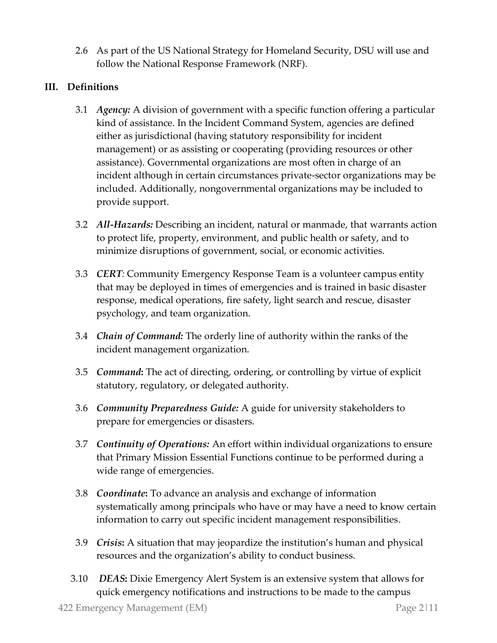2.6 As part of the US National Strategy for Homeland Security, DSU will use and follow the National Response Framework (NRF).

#### **III. Definitions**

- 3.1 *Agency:* A division of government with a specific function offering a particular kind of assistance. In the Incident Command System, agencies are defined either as jurisdictional (having statutory responsibility for incident management) or as assisting or cooperating (providing resources or other assistance). Governmental organizations are most often in charge of an incident although in certain circumstances private-sector organizations may be included. Additionally, nongovernmental organizations may be included to provide support.
- 3.2 *All-Hazards:* Describing an incident, natural or manmade, that warrants action to protect life, property, environment, and public health or safety, and to minimize disruptions of government, social, or economic activities.
- 3.3 *CERT:* Community Emergency Response Team is a volunteer campus entity that may be deployed in times of emergencies and is trained in basic disaster response, medical operations, fire safety, light search and rescue, disaster psychology, and team organization.
- 3.4 *Chain of Command:* The orderly line of authority within the ranks of the incident management organization.
- 3.5 *Command***:** The act of directing, ordering, or controlling by virtue of explicit statutory, regulatory, or delegated authority.
- 3.6 *Community Preparedness Guide:* A guide for university stakeholders to prepare for emergencies or disasters.
- 3.7 *Continuity of Operations:* An effort within individual organizations to ensure that Primary Mission Essential Functions continue to be performed during a wide range of emergencies.
- 3.8 *Coordinate***:** To advance an analysis and exchange of information systematically among principals who have or may have a need to know certain information to carry out specific incident management responsibilities.
- 3.9 *Crisis***:** A situation that may jeopardize the institution's human and physical resources and the organization's ability to conduct business.
- 3.10 *DEAS***:** Dixie Emergency Alert System is an extensive system that allows for quick emergency notifications and instructions to be made to the campus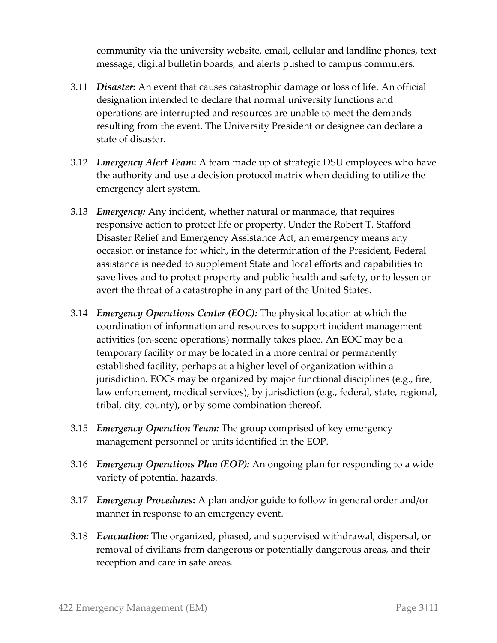community via the university website, email, cellular and landline phones, text message, digital bulletin boards, and alerts pushed to campus commuters.

- 3.11 *Disaster***:** An event that causes catastrophic damage or loss of life. An official designation intended to declare that normal university functions and operations are interrupted and resources are unable to meet the demands resulting from the event. The University President or designee can declare a state of disaster.
- 3.12 *Emergency Alert Team***:** A team made up of strategic DSU employees who have the authority and use a decision protocol matrix when deciding to utilize the emergency alert system.
- 3.13 *Emergency:* Any incident, whether natural or manmade, that requires responsive action to protect life or property. Under the Robert T. Stafford Disaster Relief and Emergency Assistance Act, an emergency means any occasion or instance for which, in the determination of the President, Federal assistance is needed to supplement State and local efforts and capabilities to save lives and to protect property and public health and safety, or to lessen or avert the threat of a catastrophe in any part of the United States.
- 3.14 *Emergency Operations Center (EOC):* The physical location at which the coordination of information and resources to support incident management activities (on-scene operations) normally takes place. An EOC may be a temporary facility or may be located in a more central or permanently established facility, perhaps at a higher level of organization within a jurisdiction. EOCs may be organized by major functional disciplines (e.g., fire, law enforcement, medical services), by jurisdiction (e.g., federal, state, regional, tribal, city, county), or by some combination thereof.
- 3.15 *Emergency Operation Team:* The group comprised of key emergency management personnel or units identified in the EOP.
- 3.16 *Emergency Operations Plan (EOP):* An ongoing plan for responding to a wide variety of potential hazards.
- 3.17 *Emergency Procedures***:** A plan and/or guide to follow in general order and/or manner in response to an emergency event.
- 3.18 *Evacuation:* The organized, phased, and supervised withdrawal, dispersal, or removal of civilians from dangerous or potentially dangerous areas, and their reception and care in safe areas.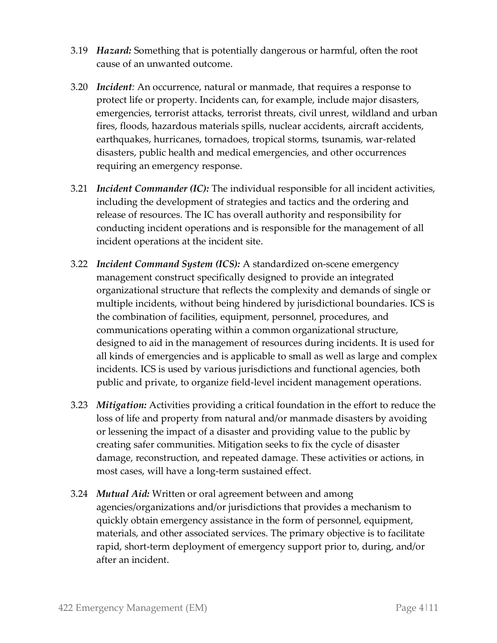- 3.19 *Hazard:* Something that is potentially dangerous or harmful, often the root cause of an unwanted outcome.
- 3.20 *Incident:* An occurrence, natural or manmade, that requires a response to protect life or property. Incidents can, for example, include major disasters, emergencies, terrorist attacks, terrorist threats, civil unrest, wildland and urban fires, floods, hazardous materials spills, nuclear accidents, aircraft accidents, earthquakes, hurricanes, tornadoes, tropical storms, tsunamis, war-related disasters, public health and medical emergencies, and other occurrences requiring an emergency response.
- 3.21 *Incident Commander (IC):* The individual responsible for all incident activities, including the development of strategies and tactics and the ordering and release of resources. The IC has overall authority and responsibility for conducting incident operations and is responsible for the management of all incident operations at the incident site.
- 3.22 *Incident Command System (ICS):* A standardized on-scene emergency management construct specifically designed to provide an integrated organizational structure that reflects the complexity and demands of single or multiple incidents, without being hindered by jurisdictional boundaries. ICS is the combination of facilities, equipment, personnel, procedures, and communications operating within a common organizational structure, designed to aid in the management of resources during incidents. It is used for all kinds of emergencies and is applicable to small as well as large and complex incidents. ICS is used by various jurisdictions and functional agencies, both public and private, to organize field-level incident management operations.
- 3.23 *Mitigation:* Activities providing a critical foundation in the effort to reduce the loss of life and property from natural and/or manmade disasters by avoiding or lessening the impact of a disaster and providing value to the public by creating safer communities. Mitigation seeks to fix the cycle of disaster damage, reconstruction, and repeated damage. These activities or actions, in most cases, will have a long-term sustained effect.
- 3.24 *Mutual Aid:* Written or oral agreement between and among agencies/organizations and/or jurisdictions that provides a mechanism to quickly obtain emergency assistance in the form of personnel, equipment, materials, and other associated services. The primary objective is to facilitate rapid, short-term deployment of emergency support prior to, during, and/or after an incident.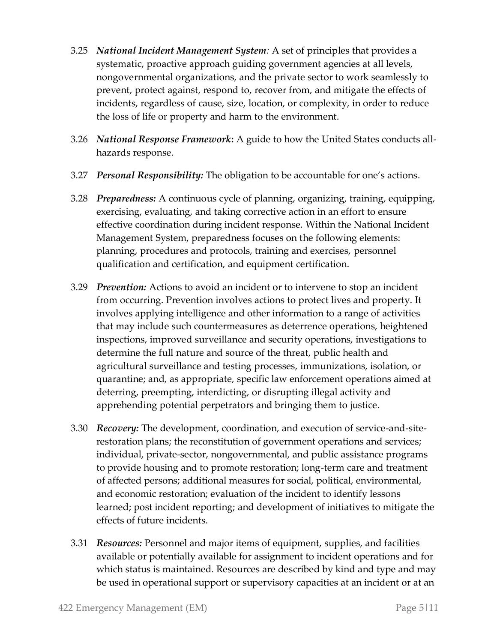- 3.25 *National Incident Management System:* A set of principles that provides a systematic, proactive approach guiding government agencies at all levels, nongovernmental organizations, and the private sector to work seamlessly to prevent, protect against, respond to, recover from, and mitigate the effects of incidents, regardless of cause, size, location, or complexity, in order to reduce the loss of life or property and harm to the environment.
- 3.26 *National Response Framework***:** A guide to how the United States conducts allhazards response.
- 3.27 *Personal Responsibility:* The obligation to be accountable for one's actions.
- 3.28 *Preparedness:* A continuous cycle of planning, organizing, training, equipping, exercising, evaluating, and taking corrective action in an effort to ensure effective coordination during incident response. Within the National Incident Management System, preparedness focuses on the following elements: planning, procedures and protocols, training and exercises, personnel qualification and certification, and equipment certification.
- 3.29 *Prevention:* Actions to avoid an incident or to intervene to stop an incident from occurring. Prevention involves actions to protect lives and property. It involves applying intelligence and other information to a range of activities that may include such countermeasures as deterrence operations, heightened inspections, improved surveillance and security operations, investigations to determine the full nature and source of the threat, public health and agricultural surveillance and testing processes, immunizations, isolation, or quarantine; and, as appropriate, specific law enforcement operations aimed at deterring, preempting, interdicting, or disrupting illegal activity and apprehending potential perpetrators and bringing them to justice.
- 3.30 *Recovery:* The development, coordination, and execution of service-and-siterestoration plans; the reconstitution of government operations and services; individual, private-sector, nongovernmental, and public assistance programs to provide housing and to promote restoration; long-term care and treatment of affected persons; additional measures for social, political, environmental, and economic restoration; evaluation of the incident to identify lessons learned; post incident reporting; and development of initiatives to mitigate the effects of future incidents.
- 3.31 *Resources:* Personnel and major items of equipment, supplies, and facilities available or potentially available for assignment to incident operations and for which status is maintained. Resources are described by kind and type and may be used in operational support or supervisory capacities at an incident or at an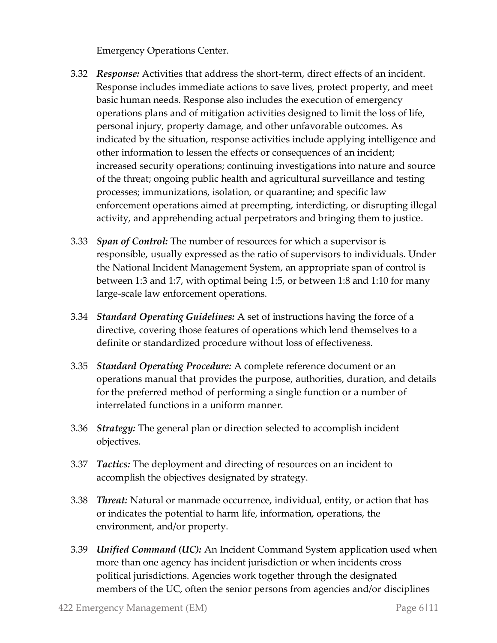Emergency Operations Center.

- 3.32 *Response:* Activities that address the short-term, direct effects of an incident. Response includes immediate actions to save lives, protect property, and meet basic human needs. Response also includes the execution of emergency operations plans and of mitigation activities designed to limit the loss of life, personal injury, property damage, and other unfavorable outcomes. As indicated by the situation, response activities include applying intelligence and other information to lessen the effects or consequences of an incident; increased security operations; continuing investigations into nature and source of the threat; ongoing public health and agricultural surveillance and testing processes; immunizations, isolation, or quarantine; and specific law enforcement operations aimed at preempting, interdicting, or disrupting illegal activity, and apprehending actual perpetrators and bringing them to justice.
- 3.33 *Span of Control:* The number of resources for which a supervisor is responsible, usually expressed as the ratio of supervisors to individuals. Under the National Incident Management System, an appropriate span of control is between 1:3 and 1:7, with optimal being 1:5, or between 1:8 and 1:10 for many large-scale law enforcement operations.
- 3.34 *Standard Operating Guidelines:* A set of instructions having the force of a directive, covering those features of operations which lend themselves to a definite or standardized procedure without loss of effectiveness.
- 3.35 *Standard Operating Procedure:* A complete reference document or an operations manual that provides the purpose, authorities, duration, and details for the preferred method of performing a single function or a number of interrelated functions in a uniform manner.
- 3.36 *Strategy:* The general plan or direction selected to accomplish incident objectives.
- 3.37 *Tactics:* The deployment and directing of resources on an incident to accomplish the objectives designated by strategy.
- 3.38 *Threat:* Natural or manmade occurrence, individual, entity, or action that has or indicates the potential to harm life, information, operations, the environment, and/or property.
- 3.39 *Unified Command (UC):* An Incident Command System application used when more than one agency has incident jurisdiction or when incidents cross political jurisdictions. Agencies work together through the designated members of the UC, often the senior persons from agencies and/or disciplines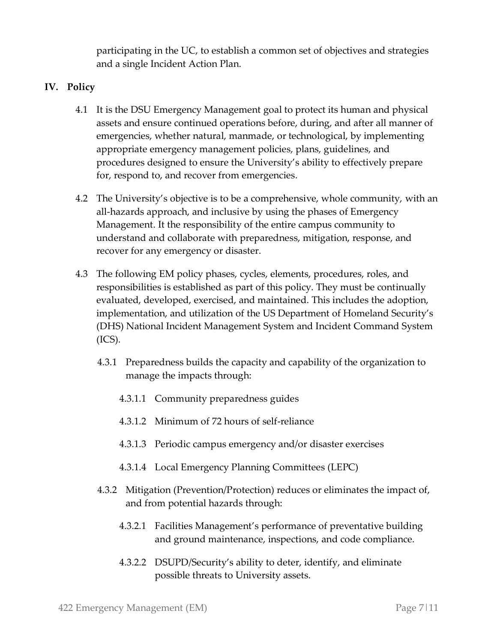participating in the UC, to establish a common set of objectives and strategies and a single Incident Action Plan.

#### **IV. Policy**

- 4.1 It is the DSU Emergency Management goal to protect its human and physical assets and ensure continued operations before, during, and after all manner of emergencies, whether natural, manmade, or technological, by implementing appropriate emergency management policies, plans, guidelines, and procedures designed to ensure the University's ability to effectively prepare for, respond to, and recover from emergencies.
- 4.2 The University's objective is to be a comprehensive, whole community, with an all-hazards approach, and inclusive by using the phases of Emergency Management. It the responsibility of the entire campus community to understand and collaborate with preparedness, mitigation, response, and recover for any emergency or disaster.
- 4.3 The following EM policy phases, cycles, elements, procedures, roles, and responsibilities is established as part of this policy. They must be continually evaluated, developed, exercised, and maintained. This includes the adoption, implementation, and utilization of the US Department of Homeland Security's (DHS) National Incident Management System and Incident Command System  $(ICS).$ 
	- 4.3.1 Preparedness builds the capacity and capability of the organization to manage the impacts through:
		- 4.3.1.1 Community preparedness guides
		- 4.3.1.2 Minimum of 72 hours of self-reliance
		- 4.3.1.3 Periodic campus emergency and/or disaster exercises
		- 4.3.1.4 Local Emergency Planning Committees (LEPC)
	- 4.3.2 Mitigation (Prevention/Protection) reduces or eliminates the impact of, and from potential hazards through:
		- 4.3.2.1 Facilities Management's performance of preventative building and ground maintenance, inspections, and code compliance.
		- 4.3.2.2 DSUPD/Security's ability to deter, identify, and eliminate possible threats to University assets.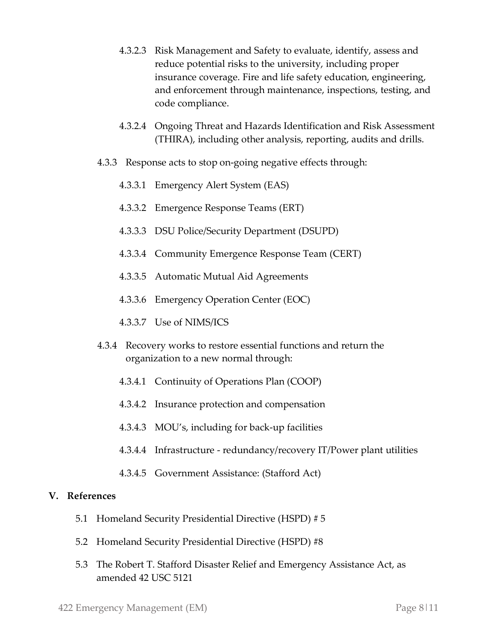- 4.3.2.3 Risk Management and Safety to evaluate, identify, assess and reduce potential risks to the university, including proper insurance coverage. Fire and life safety education, engineering, and enforcement through maintenance, inspections, testing, and code compliance.
- 4.3.2.4 Ongoing Threat and Hazards Identification and Risk Assessment (THIRA), including other analysis, reporting, audits and drills.
- 4.3.3 Response acts to stop on-going negative effects through:
	- 4.3.3.1 Emergency Alert System (EAS)
	- 4.3.3.2 Emergence Response Teams (ERT)
	- 4.3.3.3 DSU Police/Security Department (DSUPD)
	- 4.3.3.4 Community Emergence Response Team (CERT)
	- 4.3.3.5 Automatic Mutual Aid Agreements
	- 4.3.3.6 Emergency Operation Center (EOC)
	- 4.3.3.7 Use of NIMS/ICS
- 4.3.4 Recovery works to restore essential functions and return the organization to a new normal through:
	- 4.3.4.1 Continuity of Operations Plan (COOP)
	- 4.3.4.2 Insurance protection and compensation
	- 4.3.4.3 MOU's, including for back-up facilities
	- 4.3.4.4 Infrastructure redundancy/recovery IT/Power plant utilities
	- 4.3.4.5 Government Assistance: (Stafford Act)

#### **V. References**

- 5.1 Homeland Security Presidential Directive (HSPD) # 5
- 5.2 Homeland Security Presidential Directive (HSPD) #8
- 5.3 The Robert T. Stafford Disaster Relief and Emergency Assistance Act, as amended 42 USC 5121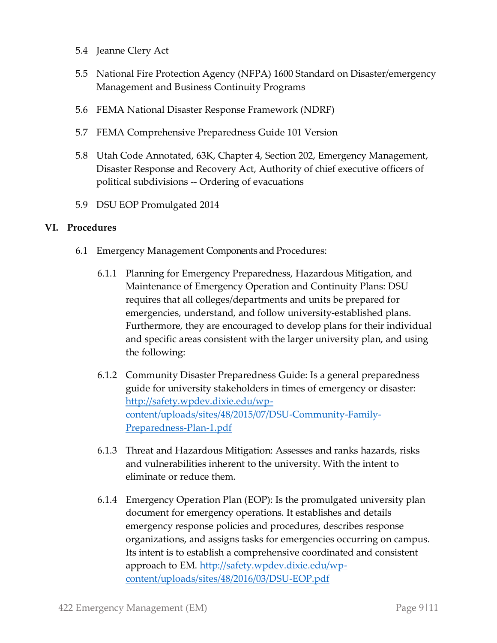- 5.4 Jeanne Clery Act
- 5.5 National Fire Protection Agency (NFPA) 1600 Standard on Disaster/emergency Management and Business Continuity Programs
- 5.6 FEMA National Disaster Response Framework (NDRF)
- 5.7 FEMA Comprehensive Preparedness Guide 101 Version
- 5.8 Utah Code Annotated, 63K, Chapter 4, Section 202, Emergency Management, Disaster Response and Recovery Act, Authority of chief executive officers of political subdivisions -- Ordering of evacuations
- 5.9 DSU EOP Promulgated 2014

#### **VI. Procedures**

- 6.1 Emergency Management Components and Procedures:
	- 6.1.1 Planning for Emergency Preparedness, Hazardous Mitigation, and Maintenance of Emergency Operation and Continuity Plans: DSU requires that all colleges/departments and units be prepared for emergencies, understand, and follow university-established plans. Furthermore, they are encouraged to develop plans for their individual and specific areas consistent with the larger university plan, and using the following:
	- 6.1.2 Community Disaster Preparedness Guide: Is a general preparedness guide for university stakeholders in times of emergency or disaster: [http://safety.wpdev.dixie.edu/wp](http://safety.wpdev.dixie.edu/wp-content/uploads/sites/48/2015/07/DSU-Community-Family-Preparedness-Plan-1.pdf)[content/uploads/sites/48/2015/07/DSU-Community-Family-](http://safety.wpdev.dixie.edu/wp-content/uploads/sites/48/2015/07/DSU-Community-Family-Preparedness-Plan-1.pdf)[Preparedness-Plan-1.pdf](http://safety.wpdev.dixie.edu/wp-content/uploads/sites/48/2015/07/DSU-Community-Family-Preparedness-Plan-1.pdf)
	- 6.1.3 Threat and Hazardous Mitigation: Assesses and ranks hazards, risks and vulnerabilities inherent to the university. With the intent to eliminate or reduce them.
	- 6.1.4 Emergency Operation Plan (EOP): Is the promulgated university plan document for emergency operations. It establishes and details emergency response policies and procedures, describes response organizations, and assigns tasks for emergencies occurring on campus. Its intent is to establish a comprehensive coordinated and consistent approach to EM. [http://safety.wpdev.dixie.edu/wp](http://safety.wpdev.dixie.edu/wp-content/uploads/sites/48/2016/03/DSU-EOP.pdf)[content/uploads/sites/48/2016/03/DSU-EOP.pdf](http://safety.wpdev.dixie.edu/wp-content/uploads/sites/48/2016/03/DSU-EOP.pdf)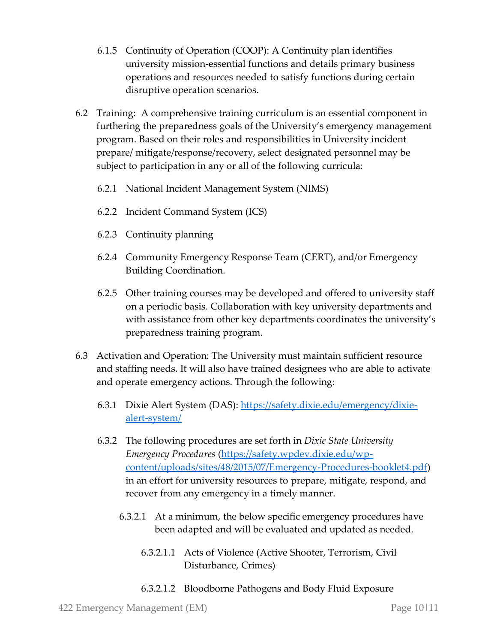- 6.1.5 Continuity of Operation (COOP): A Continuity plan identifies university mission-essential functions and details primary business operations and resources needed to satisfy functions during certain disruptive operation scenarios.
- 6.2 Training: A comprehensive training curriculum is an essential component in furthering the preparedness goals of the University's emergency management program. Based on their roles and responsibilities in University incident prepare/ mitigate/response/recovery, select designated personnel may be subject to participation in any or all of the following curricula:
	- 6.2.1 National Incident Management System (NIMS)
	- 6.2.2 Incident Command System (ICS)
	- 6.2.3 Continuity planning
	- 6.2.4 Community Emergency Response Team (CERT), and/or Emergency Building Coordination.
	- 6.2.5 Other training courses may be developed and offered to university staff on a periodic basis. Collaboration with key university departments and with assistance from other key departments coordinates the university's preparedness training program.
- 6.3 Activation and Operation: The University must maintain sufficient resource and staffing needs. It will also have trained designees who are able to activate and operate emergency actions. Through the following:
	- 6.3.1 Dixie Alert System (DAS): [https://safety.dixie.edu/emergency/dixie](https://safety.dixie.edu/emergency/dixie-alert-system/)[alert-system/](https://safety.dixie.edu/emergency/dixie-alert-system/)
	- 6.3.2 The following procedures are set forth in *Dixie State University Emergency Procedures* [\(https://safety.wpdev.dixie.edu/wp](https://safety.wpdev.dixie.edu/wp-content/uploads/sites/48/2015/07/Emergency-Procedures-booklet4.pdf)[content/uploads/sites/48/2015/07/Emergency-Procedures-booklet4.pdf\)](https://safety.wpdev.dixie.edu/wp-content/uploads/sites/48/2015/07/Emergency-Procedures-booklet4.pdf) in an effort for university resources to prepare, mitigate, respond, and recover from any emergency in a timely manner.
		- 6.3.2.1 At a minimum, the below specific emergency procedures have been adapted and will be evaluated and updated as needed.
			- 6.3.2.1.1 Acts of Violence (Active Shooter, Terrorism, Civil Disturbance, Crimes)
			- 6.3.2.1.2 Bloodborne Pathogens and Body Fluid Exposure